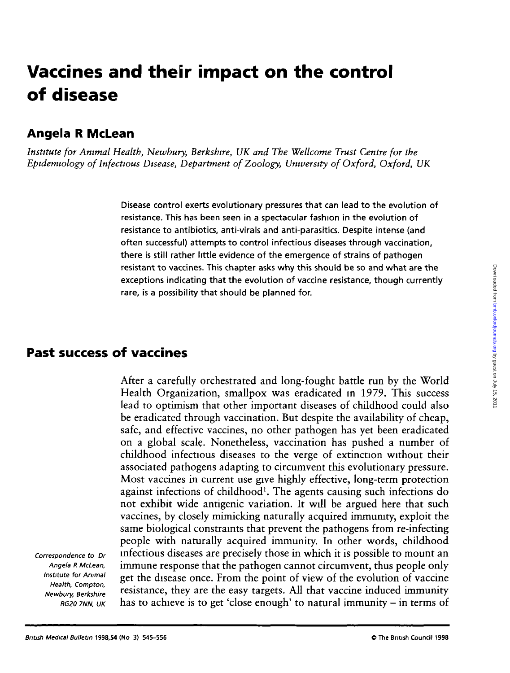# **Vaccines and their impact on the control of disease**

# **Angela R McLean**

*Institute for Animal Health, Newbury, Berkshire, UK and The Wellcome Trust Centre for the Eptdenttology of Infectious Disease, Department of Zoology, University of Oxford, Oxford, UK*

> Disease control exerts evolutionary pressures that can lead to the evolution of resistance. This has been seen in a spectacular fashion in the evolution of resistance to antibiotics, anti-virals and anti-parasitics. Despite intense (and often successful) attempts to control infectious diseases through vaccination, there is still rather little evidence of the emergence of strains of pathogen resistant to vaccines. This chapter asks why this should be so and what are the exceptions indicating that the evolution of vaccine resistance, though currently rare, is a possibility that should be planned for.

## **Past success of vaccines**

After a carefully orchestrated and long-fought battle run by the World Health Organization, smallpox was eradicated in 1979. This success lead to optimism that other important diseases of childhood could also be eradicated through vaccination. But despite the availability of cheap, safe, and effective vaccines, no other pathogen has yet been eradicated on a global scale. Nonetheless, vaccination has pushed a number of childhood infectious diseases to the verge of extinction without their associated pathogens adapting to circumvent this evolutionary pressure. Most vaccines in current use give highly effective, long-term protection against infections of childhood<sup>1</sup>. The agents causing such infections do not exhibit wide antigenic variation. It will be argued here that such vaccines, by closely mimicking naturally acquired immunity, exploit the same biological constramts that prevent the pathogens from re-infecting people with naturally acquired immunity. In other words, childhood infectious diseases are precisely those in which it is possible to mount an immune response that the pathogen cannot circumvent, thus people only get the disease once. From the point of view of the evolution of vaccine resistance, they are the easy targets. All that vaccine induced immunity has to achieve is to get 'close enough' to natural immunity – in terms of

Correspondence to Dr Angela R McLean, Institute for Animal Health, Compton, Newbury, Berkshire RG20 7NN, UK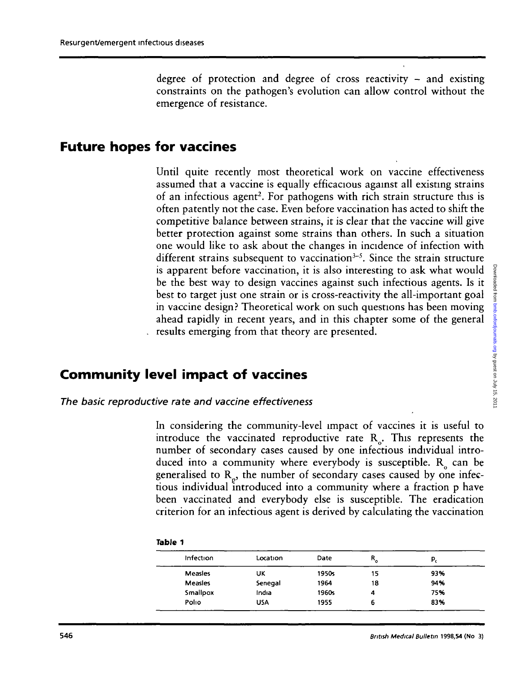degree of protection and degree of cross reactivity  $-$  and existing constraints on the pathogen's evolution can allow control without the emergence of resistance.

### **Future hopes for vaccines**

Until quite recently most theoretical work on vaccine effectiveness assumed that a vaccine is equally efficacious against all existing strains of an infectious agent<sup>2</sup>. For pathogens with rich strain structure this is often patently not the case. Even before vaccination has acted to shift the competitive balance between strains, it is clear that the vaccine will give better protection against some strains than others. In such a situation one would like to ask about the changes in incidence of infection with different strains subsequent to vaccination<sup>3-5</sup>. Since the strain structure is apparent before vaccination, it is also interesting to ask what would be the best way to design vaccines against such infectious agents. Is it best to target just one strain or is cross-reactivity the all-important goal in vaccine design? Theoretical work on such questions has been moving ahead rapidly in recent years, and in this chapter some of the general . results emerging from that theory are presented.

### **Community level impact of vaccines**

The basic reproductive rate and vaccine effectiveness

In considering the community-level impact of vaccines it is useful to introduce the vaccinated reproductive rate  $R_0$ . This represents the number of secondary cases caused by one infectious individual introduced into a community where everybody is susceptible.  $R_{0}$  can be generalised to  $R_{\alpha}$ , the number of secondary cases caused by one infectious individual introduced into a community where a fraction p have been vaccinated and everybody else is susceptible. The eradication criterion for an infectious agent is derived by calculating the vaccination

| Infection      | Location   | Date  | $R_{o}$ | Р,  |
|----------------|------------|-------|---------|-----|
| Measles        | UK         | 1950s | 15      | 93% |
| <b>Measles</b> | Senegal    | 1964  | 18      | 94% |
| Smallpox       | India      | 1960s | 4       | 75% |
| Polio          | <b>USA</b> | 1955  | 6       | 83% |

| ı |  |
|---|--|
|---|--|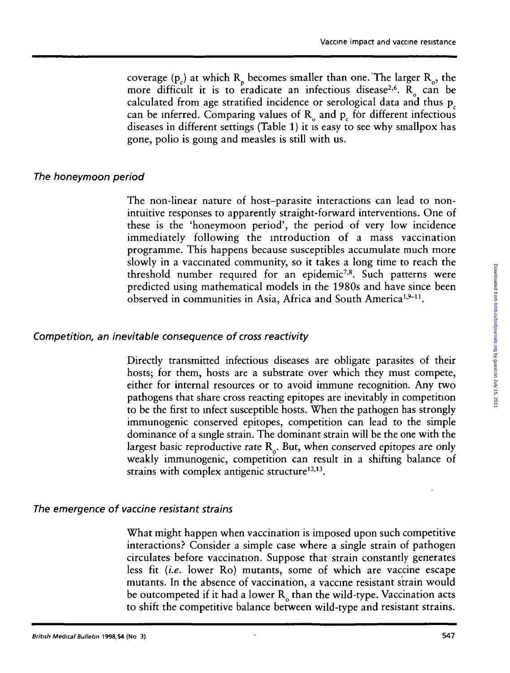coverage ( $p_c$ ) at which R<sub>n</sub> becomes smaller than one. The larger R<sub>o</sub>, the more difficult it is to eradicate an infectious disease<sup>2,6</sup>.  $\overline{R}_0$  can be calculated from age stratified incidence or serological data and thus  $p_c$ can be inferred. Comparing values of  $R_{\alpha}$  and  $p_{\alpha}$  for different infectious diseases in different settings (Table 1) it is easy to see why smallpox has gone, polio is going and measles is still with us.

## The honeymoon period

The non-linear nature of host-parasite interactions can lead to nonintuitive responses to apparently straight-forward interventions. One of these is the 'honeymoon period', the period of very low incidence immediately following the introduction of a mass vaccination programme. This happens because susceptibles accumulate much more slowly in a vaccinated community, so it takes a long time to reach the threshold number required for an epidemic<sup>7,8</sup>. Such patterns were predicted using mathematical models in the 1980s and have since been observed in communities in Asia, Africa and South America<sup>1,9-11</sup>.

### Competition, an inevitable consequence of cross reactivity

Directly transmitted infectious diseases are obligate parasites of their hosts; for them, hosts are a substrate over which they must compete, either for internal resources or to avoid immune recognition. Any two pathogens that share cross reacting epitopes are inevitably in competition to be the first to infect susceptible hosts. When the pathogen has strongly immunogenic conserved epitopes, competition can lead to the simple dominance of a smgle strain. The dominant strain will be the one with the largest basic reproductive rate  $R_{\alpha}$ . But, when conserved epitopes are only weakly immunogenic, competition can result in a shifting balance of strains with complex antigenic structure<sup>12,13</sup>.

### The emergence of vaccine resistant strains

What might happen when vaccination is imposed upon such competitive interactions? Consider a simple case where a single strain of pathogen circulates before vaccination. Suppose that strain constantly generates less fit *(i.e.* lower Ro) mutants, some of which are vaccine escape mutants. In the absence of vaccination, a vaccine resistant strain would be outcompeted if it had a lower  $R_0$  than the wild-type. Vaccination acts to shift the competitive balance between wild-type and resistant strains.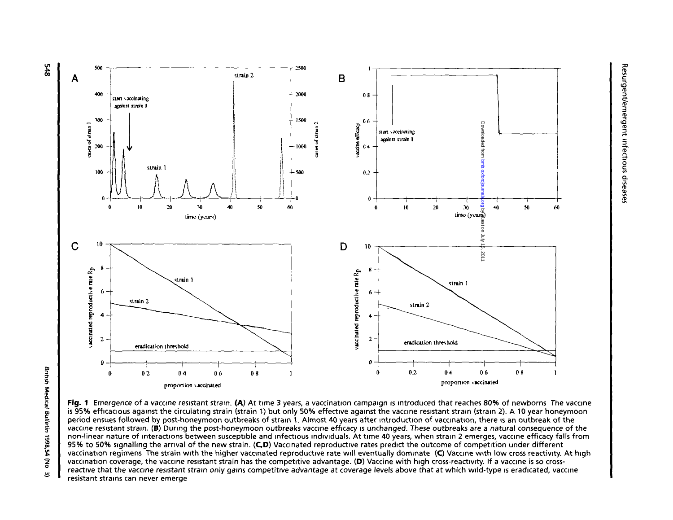

**TO**

Fig. 1 Emergence of a vaccine resistant strain. (A) At time 3 years, a vaccination campaign is introduced that reaches 80% of newborns The vaccine is 95% efficacious against the circulating strain (strain 1) but only 50% effective against the vaccine resistant strain (strain 2). A 10 year honeymoon period ensues followed by post-honeymoon outbreaks of strain 1. Almost 40 years after introduction of vaccination, there is an outbreak of the vaccine resistant strain. (B) During the post-honeymoon outbreaks vaccine efficacy is unchanged. These outbreaks are a natural consequence of the non-linear nature of interactions between susceptible and infectious individuals. At time 40 years, when strain 2 emerges, vaccine efficacy falls from 95% to 50% signalling the arrival of the new strain. (CD) Vaccinated reproductive rates predict the outcome of competition under different vaccination regimens The strain with the higher vaccinated reproductive rate will eventually dominate (Q Vaccine with low cross reactivity. At high vaccination coverage, the vaccine resistant strain has the competitive advantage. (D) Vaccine with high cross-reactivity. If a vaccine is so crossreactive that the vaccine resistant strain only gains competitive advantage at coverage levels above that at which wild-type is eradicated, vaccine resistant strains can never emerge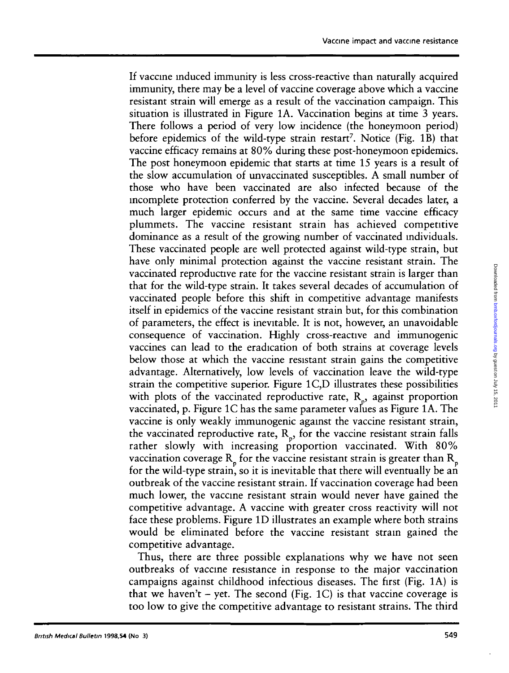If vaccine induced immunity is less cross-reactive than naturally acquired immunity, there may be a level of vaccine coverage above which a vaccine resistant strain will emerge as a result of the vaccination campaign. This situation is illustrated in Figure 1A. Vaccination begins at time 3 years. There follows a period of very low incidence (the honeymoon period) before epidemics of the wild-type strain restart<sup>7</sup>. Notice (Fig. 1B) that vaccine efficacy remains at 80% during these post-honeymoon epidemics. The post honeymoon epidemic that starts at time 15 years is a result of the slow accumulation of unvaccinated susceptibles. A small number of those who have been vaccinated are also infected because of the incomplete protection conferred by the vaccine. Several decades later, a much larger epidemic occurs and at the same time vaccine efficacy plummets. The vaccine resistant strain has achieved competitive dominance as a result of the growing number of vaccinated individuals. These vaccinated people are well protected against wild-type strain, but have only minimal protection against the vaccine resistant strain. The vaccinated reproductive rate for the vaccine resistant strain is larger than that for the wild-type strain. It takes several decades of accumulation of vaccinated people before this shift in competitive advantage manifests itself in epidemics of the vaccine resistant strain but, for this combination of parameters, the effect is inevitable. It is not, however, an unavoidable consequence of vaccination. Highly cross-reactive and immunogenic vaccines can lead to the eradication of both strains at coverage levels below those at which the vaccine resistant strain gains the competitive advantage. Alternatively, low levels of vaccination leave the wild-type strain the competitive superior. Figure 1C,D illustrates these possibilities with plots of the vaccinated reproductive rate,  $R_{n}$ , against proportion vaccinated, p. Figure 1C has the same parameter values as Figure 1A. The vaccine is only weakly immunogenic agamst the vaccine resistant strain, the vaccinated reproductive rate,  $R_p$ , for the vaccine resistant strain falls rather slowly with increasing proportion vaccinated. With 80% vaccination coverage  $R_{\text{g}}$  for the vaccine resistant strain is greater than  $R_{\text{g}}$ for the wild-type strain, so it is inevitable that there will eventually be an outbreak of the vaccine resistant strain. If vaccination coverage had been much lower, the vaccine resistant strain would never have gained the competitive advantage. A vaccine with greater cross reactivity will not face these problems. Figure ID illustrates an example where both strains would be eliminated before the vaccine resistant strain gained the competitive advantage.

Thus, there are three possible explanations why we have not seen outbreaks of vaccine resistance in response to the major vaccination campaigns against childhood infectious diseases. The first (Fig. 1A) is that we haven't  $-$  yet. The second (Fig. 1C) is that vaccine coverage is too low to give the competitive advantage to resistant strains. The third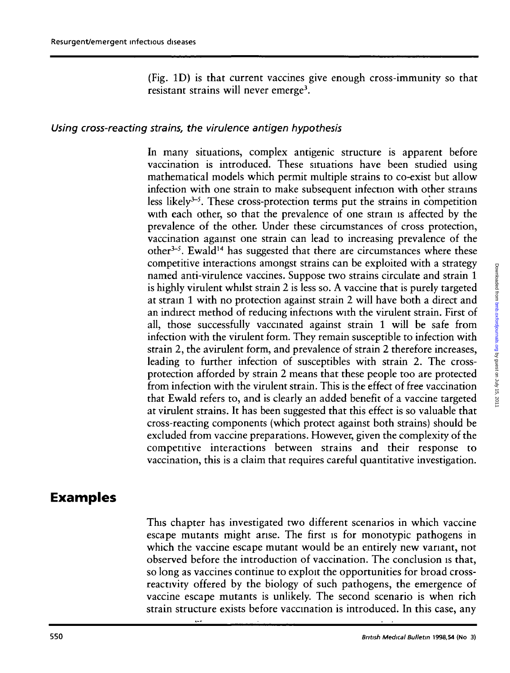(Fig. ID) is that current vaccines give enough cross-immunity so that resistant strains will never emerge<sup>3</sup>.

#### Using cross-reacting strains, the virulence antigen hypothesis

In many situations, complex antigenic structure is apparent before vaccination is introduced. These situations have been studied using mathematical models which permit multiple strains to co-exist but allow infection with one strain to make subsequent infection with other strams less likely<sup>3-5</sup>. These cross-protection terms put the strains in competition with each other, so that the prevalence of one strain is affected by the prevalence of the other. Under these circumstances of cross protection, vaccination against one strain can lead to increasing prevalence of the other<sup>3-5</sup>. Ewald<sup>14</sup> has suggested that there are circumstances where these competitive interactions amongst strains can be exploited with a strategy named anti-virulence vaccines. Suppose two strains circulate and strain 1 is highly virulent whilst strain 2 is less so. A vaccine that is purely targeted at strain 1 with no protection against strain 2 will have both a direct and an indirect method of reducing infections with the virulent strain. First of all, those successfully vaccinated against strain 1 will be safe from infection with the virulent form. They remain susceptible to infection with strain 2, the avirulent form, and prevalence of strain 2 therefore increases, leading to further infection of susceptibles with strain 2. The crossprotection afforded by strain 2 means that these people too are protected from infection with the virulent strain. This is the effect of free vaccination that Ewald refers to, and is clearly an added benefit of a vaccine targeted at virulent strains. It has been suggested that this effect is so valuable that cross-reacting components (which protect against both strains) should be excluded from vaccine preparations. However, given the complexity of the competitive interactions between strains and their response to vaccination, this is a claim that requires careful quantitative investigation.

## **Examples**

This chapter has investigated two different scenarios in which vaccine escape mutants might arise. The first is for monotypic pathogens in which the vaccine escape mutant would be an entirely new variant, not observed before the introduction of vaccination. The conclusion is that, so long as vaccines continue to exploit the opportunities for broad crossreactivity offered by the biology of such pathogens, the emergence of vaccine escape mutants is unlikely. The second scenario is when rich strain structure exists before vaccination is introduced. In this case, any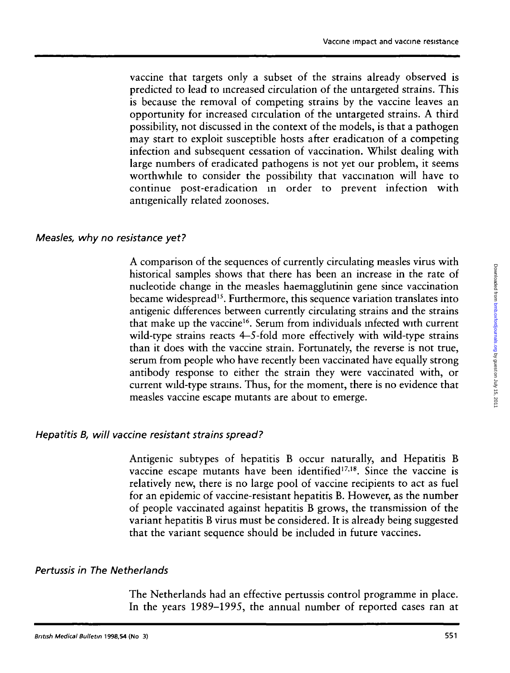vaccine that targets only a subset of the strains already observed is predicted to lead to increased circulation of the untargeted strains. This is because the removal of competing strains by the vaccine leaves an opportunity for increased circulation of the untargeted strains. A third possibility, not discussed in the context of the models, is that a pathogen may start to exploit susceptible hosts after eradication of a competing infection and subsequent cessation of vaccination. Whilst dealing with large numbers of eradicated pathogens is not yet our problem, it seems worthwhile to consider the possibility that vaccination will have to continue post-eradication in order to prevent infection with antigenically related zoonoses.

#### Measles, why no resistance yet?

A comparison of the sequences of currently circulating measles virus with historical samples shows that there has been an increase in the rate of nucleotide change in the measles haemagglutinin gene since vaccination became widespread<sup>15</sup>. Furthermore, this sequence variation translates into antigenic differences between currently circulating strains and the strains that make up the vaccine<sup>16</sup>. Serum from individuals infected with current wild-type strains reacts *4-*5-fold more effectively with wild-type strains than it does with the vaccine strain. Fortunately, the reverse is not true, serum from people who have recently been vaccinated have equally strong antibody response to either the strain they were vaccinated with, or current wild-type strains. Thus, for the moment, there is no evidence that measles vaccine escape mutants are about to emerge.

#### Hepatitis B, will vaccine resistant strains spread?

Antigenic subtypes of hepatitis B occur naturally, and Hepatitis B vaccine escape mutants have been identified<sup>17,18</sup>. Since the vaccine is relatively new, there is no large pool of vaccine recipients to act as fuel for an epidemic of vaccine-resistant hepatitis B. However, as the number of people vaccinated against hepatitis B grows, the transmission of the variant hepatitis B virus must be considered. It is already being suggested that the variant sequence should be included in future vaccines.

#### Pertussis in The Netherlands

The Netherlands had an effective pertussis control programme in place. In the years 1989-1995, the annual number of reported cases ran at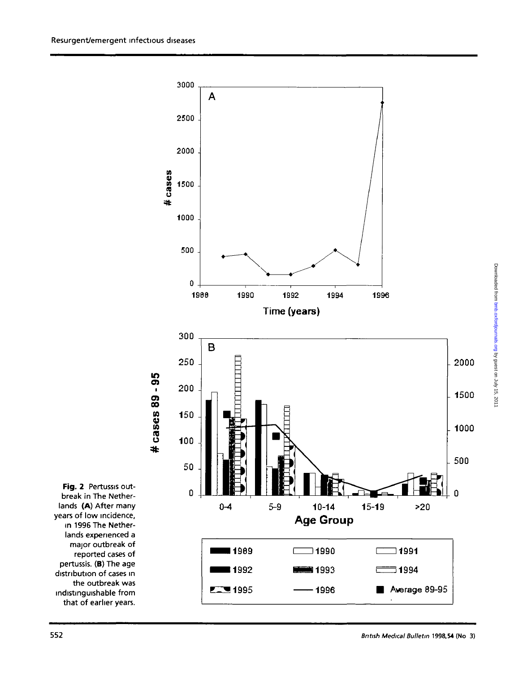

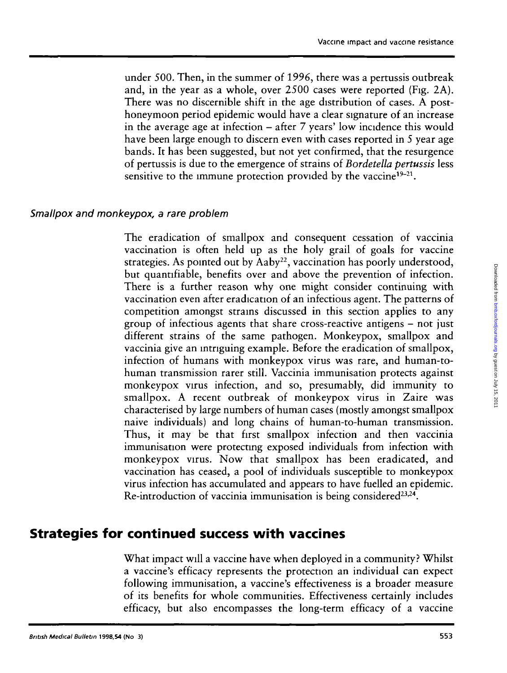under 500. Then, in the summer of 1996, there was a pertussis outbreak and, in the year as a whole, over 2500 cases were reported (Fig. 2A). There was no discernible shift in the age distribution of cases. A posthoneymoon period epidemic would have a clear signature of an increase in the average age at infection  $-$  after 7 years' low incidence this would have been large enough to discern even with cases reported in 5 year age bands. It has been suggested, but not yet confirmed, that the resurgence of pertussis is due to the emergence of strains of *Bordetella pertussis* less sensitive to the immune protection provided by the vaccine<sup>19-21</sup>.

#### Smallpox and monkeypox, a rare problem

The eradication of smallpox and consequent cessation of vaccinia vaccination is often held up as the holy grail of goals for vaccine strategies. As pointed out by  $Aaby^{22}$ , vaccination has poorly understood, but quantifiable, benefits over and above the prevention of infection. There is a further reason why one might consider continuing with vaccination even after eradication of an infectious agent. The patterns of competition amongst strains discussed in this section applies to any group of infectious agents that share cross-reactive antigens - not just different strains of the same pathogen. Monkeypox, smallpox and vaccinia give an intriguing example. Before the eradication of smallpox, infection of humans with monkeypox virus was rare, and human-tohuman transmission rarer still. Vaccinia immunisation protects against monkeypox virus infection, and so, presumably, did immunity to smallpox. A recent outbreak of monkeypox virus in Zaire was characterised by large numbers of human cases (mostly amongst smallpox naive individuals) and long chains of human-to-human transmission. Thus, it may be that first smallpox infection and then vaccinia immunisation were protecting exposed individuals from infection with monkeypox virus. Now that smallpox has been eradicated, and vaccination has ceased, a pool of individuals susceptible to monkeypox virus infection has accumulated and appears to have fuelled an epidemic. Re-introduction of vaccinia immunisation is being considered<sup>23,24</sup>.

## **Strategies for continued success with vaccines**

What impact will a vaccine have when deployed in a community? Whilst a vaccine's efficacy represents the protection an individual can expect following immunisation, a vaccine's effectiveness is a broader measure of its benefits for whole communities. Effectiveness certainly includes efficacy, but also encompasses the long-term efficacy of a vaccine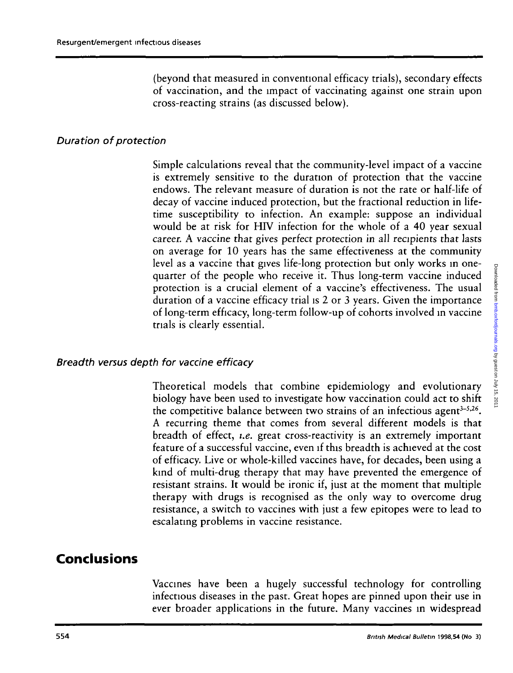(beyond that measured in conventional efficacy trials), secondary effects of vaccination, and the impact of vaccinating against one strain upon cross-reacting strains (as discussed below).

#### Duration of protection

Simple calculations reveal that the community-level impact of a vaccine is extremely sensitive to the duration of protection that the vaccine endows. The relevant measure of duration is not the rate or half-life of decay of vaccine induced protection, but the fractional reduction in lifetime susceptibility to infection. An example: suppose an individual would be at risk for HTV infection for the whole of a 40 year sexual career. A vaccine that gives perfect protection in all recipients that lasts on average for 10 years has the same effectiveness at the community level as a vaccine that gives life-long protection but only works in onequarter of the people who receive it. Thus long-term vaccine induced protection is a crucial element of a vaccine's effectiveness. The usual duration of a vaccine efficacy trial is 2 or 3 years. Given the importance of long-term efficacy, long-term follow-up of cohorts involved in vaccine trials is clearly essential.

#### Breadth versus depth for vaccine efficacy

Theoretical models that combine epidemiology and evolutionary biology have been used to investigate how vaccination could act to shift the competitive balance between two strains of an infectious agent<sup>3-5,26</sup>. A recurring theme that comes from several different models is that breadth of effect, *i.e.* great cross-reactivity is an extremely important feature of a successful vaccine, even if this breadth is achieved at the cost of efficacy. Live or whole-killed vaccines have, for decades, been using a kind of multi-drug therapy that may have prevented the emergence of resistant strains. It would be ironic if, just at the moment that multiple therapy with drugs is recognised as the only way to overcome drug resistance, a switch to vaccines with just a few epitopes were to lead to escalating problems in vaccine resistance.

### **Conclusions**

Vaccines have been a hugely successful technology for controlling infectious diseases in the past. Great hopes are pinned upon their use in ever broader applications in the future. Many vaccines in widespread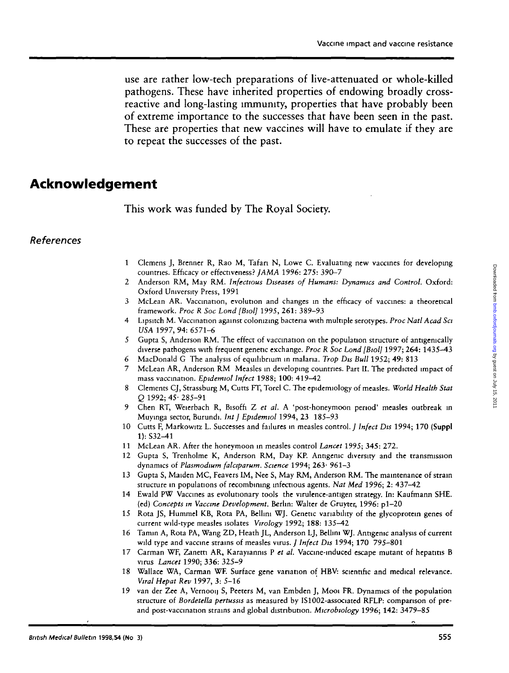use are rather low-tech preparations of live-attenuated or whole-killed pathogens. These have inherited properties of endowing broadly crossreactive and long-lasting immunity, properties that have probably been of extreme importance to the successes that have been seen in the past. These are properties that new vaccines will have to emulate if they are to repeat the successes of the past.

# **Acknowledgement**

This work was funded by The Royal Society.

#### *References*

- 1 Clemens J, Brenner R, Rao M, Tafan N, Lowe C. Evaluating new vaccines for developing countries. Efficacy or effectiveness? *JAMA* 1996: 275: 390-7
- 2 Anderson RM, May RM. *Infectious Diseases of Humans: Dynamics and Control.* Oxford: Oxford University Press, 1991
- 3 McLean AR. Vaccination, evolution and changes in the efficacy of vaccines: a theoretical framework. *Proc R Soc Lond [Biol]* 1995, 261: 389-93
- 4 Lipsitch M. Vaccination against colonizing bacteria with multiple serotypes. *Proc Natl Acad Set USA* 1997, 94: 6571-6
- 5 Gupta S, Anderson RM. The effect of vaccination on the population structure of antigenically diverse pathogens with frequent genetic exchange. *Proc R Soc Lond [Biol]* 1997; 264: 1435-43
- 6 MacDonald G The analysis of equilibrium in malaria. *Trop Dis Bull* 1952; 49: 813
- 7 McLean AR, Anderson RM Measles in developing countries. Part II. The predicted impact of mass vaccination. *Epidemiol Infect* 1988; 100: *419-42*
- 8 Clements CJ, Strassburg M, Cutts FT, Torel C. The epidemiology of measles. *World Health Stat Q* 1992; 45- 285-91
- 9 Chen RT, Weierbach R, Bisoffi Z *et al.* A 'post-honeymoon period' measles outbreak in Muyinga sector, Burundi. *Int J Epidemiol* 1994, 23 185-93
- 10 Cutts F, Markowitz L. Successes and failures in measles control. / *Infect Dts* 1994; 170 (Suppl  $1): S32-41$
- 11 McLean AR. After the honeymoon in measles control *Lancet* 1995; 345: 272.
- 12 Gupta S, Trenholme K, Anderson RM, Day KP. Antigenic diversity and the transmission dynamics of *Plasmodium falctparum. Science* 1994; 263- 961-3
- 13 Gupta S, Maiden MC, Feavers IM, Nee S, May RM, Anderson RM. The maintenance of strain structure in populations of recombining infectious agents. *Nat Med* 1996; 2: 437-42
- 14 Ewald PW Vaccines as evolutionary tools the virulence-antigen strategy. In: Kaufmann SHE. (ed) *Concepts in Vaccine Development.* Berlin: Walter de Gruyter, 1996: pl-20
- 15 Rota JS, Hummel KB, Rota PA, Bellini WJ. Genetic variability of the glycoprotein genes of current wild-type measles isolates *Virology* 1992; 188: 135-42
- 16 Tamin A, Rota PA, Wang ZD, Heath JL, Anderson LJ, Bellini WJ. Antigenic analysis of current wild type and vaccine strains of measles virus. / *Infect Dis* 1994; 170 795-801
- 17 Carman WF, Zanetti AR, Karayiannis P *et al.* Vaccine-induced escape mutant of hepatitis B virus *Lancet* 1990; 336: 325-9
- 18 Wallace WA, Carman WF. Surface gene variation of HBV: scientific and medical relevance. *Viral Hepat Rev* 1997, 3: 5-16
- 19 van der Zee A, Vernooij S, Peeters M, van Embden J, Mooi FR. Dynamics of the population structure of *Bordetella pertussis* as measured by IS1002-associated RFLP: comparison of preand post-vaccination strains and global distribution. *Microbiology* 1996; 142: 3479-85